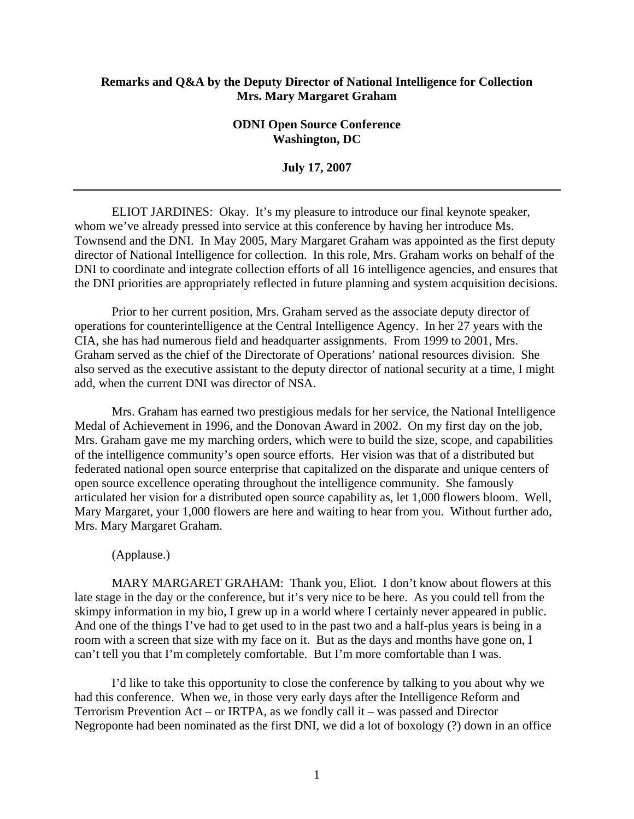## **Remarks and Q&A by the Deputy Director of National Intelligence for Collection Mrs. Mary Margaret Graham**

## **ODNI Open Source Conference Washington, DC**

**July 17, 2007** 

ELIOT JARDINES: Okay. It's my pleasure to introduce our final keynote speaker, whom we've already pressed into service at this conference by having her introduce Ms. Townsend and the DNI. In May 2005, Mary Margaret Graham was appointed as the first deputy director of National Intelligence for collection. In this role, Mrs. Graham works on behalf of the DNI to coordinate and integrate collection efforts of all 16 intelligence agencies, and ensures that the DNI priorities are appropriately reflected in future planning and system acquisition decisions.

Prior to her current position, Mrs. Graham served as the associate deputy director of operations for counterintelligence at the Central Intelligence Agency. In her 27 years with the CIA, she has had numerous field and headquarter assignments. From 1999 to 2001, Mrs. Graham served as the chief of the Directorate of Operations' national resources division. She also served as the executive assistant to the deputy director of national security at a time, I might add, when the current DNI was director of NSA.

Mrs. Graham has earned two prestigious medals for her service, the National Intelligence Medal of Achievement in 1996, and the Donovan Award in 2002. On my first day on the job, Mrs. Graham gave me my marching orders, which were to build the size, scope, and capabilities of the intelligence community's open source efforts. Her vision was that of a distributed but federated national open source enterprise that capitalized on the disparate and unique centers of open source excellence operating throughout the intelligence community. She famously articulated her vision for a distributed open source capability as, let 1,000 flowers bloom. Well, Mary Margaret, your 1,000 flowers are here and waiting to hear from you. Without further ado, Mrs. Mary Margaret Graham.

## (Applause.)

MARY MARGARET GRAHAM: Thank you, Eliot. I don't know about flowers at this late stage in the day or the conference, but it's very nice to be here. As you could tell from the skimpy information in my bio, I grew up in a world where I certainly never appeared in public. And one of the things I've had to get used to in the past two and a half-plus years is being in a room with a screen that size with my face on it. But as the days and months have gone on, I can't tell you that I'm completely comfortable. But I'm more comfortable than I was.

I'd like to take this opportunity to close the conference by talking to you about why we had this conference. When we, in those very early days after the Intelligence Reform and Terrorism Prevention Act – or IRTPA, as we fondly call it – was passed and Director Negroponte had been nominated as the first DNI, we did a lot of boxology (?) down in an office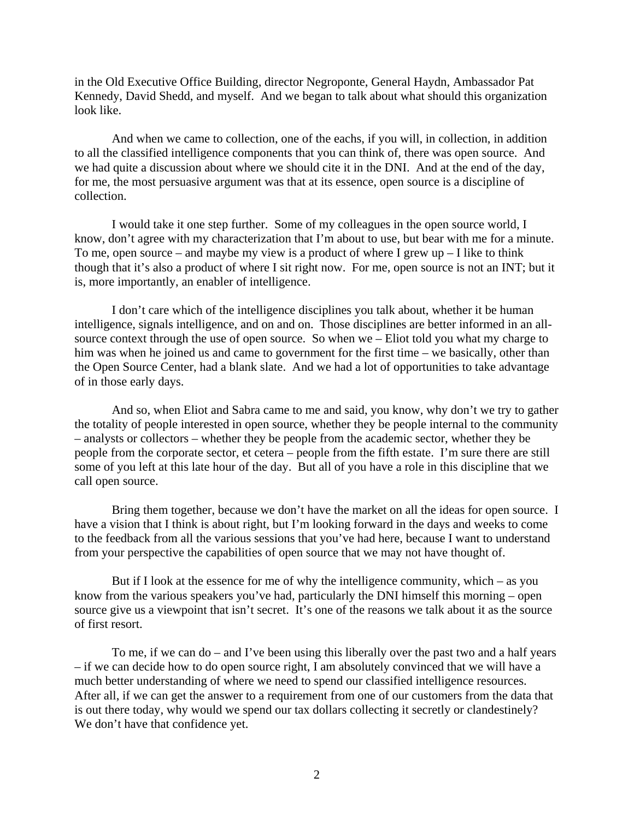in the Old Executive Office Building, director Negroponte, General Haydn, Ambassador Pat Kennedy, David Shedd, and myself. And we began to talk about what should this organization look like.

And when we came to collection, one of the eachs, if you will, in collection, in addition to all the classified intelligence components that you can think of, there was open source. And we had quite a discussion about where we should cite it in the DNI. And at the end of the day, for me, the most persuasive argument was that at its essence, open source is a discipline of collection.

I would take it one step further. Some of my colleagues in the open source world, I know, don't agree with my characterization that I'm about to use, but bear with me for a minute. To me, open source – and maybe my view is a product of where I grew  $up - I$  like to think though that it's also a product of where I sit right now. For me, open source is not an INT; but it is, more importantly, an enabler of intelligence.

I don't care which of the intelligence disciplines you talk about, whether it be human intelligence, signals intelligence, and on and on. Those disciplines are better informed in an allsource context through the use of open source. So when we – Eliot told you what my charge to him was when he joined us and came to government for the first time – we basically, other than the Open Source Center, had a blank slate. And we had a lot of opportunities to take advantage of in those early days.

And so, when Eliot and Sabra came to me and said, you know, why don't we try to gather the totality of people interested in open source, whether they be people internal to the community – analysts or collectors – whether they be people from the academic sector, whether they be people from the corporate sector, et cetera – people from the fifth estate. I'm sure there are still some of you left at this late hour of the day. But all of you have a role in this discipline that we call open source.

Bring them together, because we don't have the market on all the ideas for open source. I have a vision that I think is about right, but I'm looking forward in the days and weeks to come to the feedback from all the various sessions that you've had here, because I want to understand from your perspective the capabilities of open source that we may not have thought of.

But if I look at the essence for me of why the intelligence community, which – as you know from the various speakers you've had, particularly the DNI himself this morning – open source give us a viewpoint that isn't secret. It's one of the reasons we talk about it as the source of first resort.

To me, if we can do – and I've been using this liberally over the past two and a half years – if we can decide how to do open source right, I am absolutely convinced that we will have a much better understanding of where we need to spend our classified intelligence resources. After all, if we can get the answer to a requirement from one of our customers from the data that is out there today, why would we spend our tax dollars collecting it secretly or clandestinely? We don't have that confidence yet.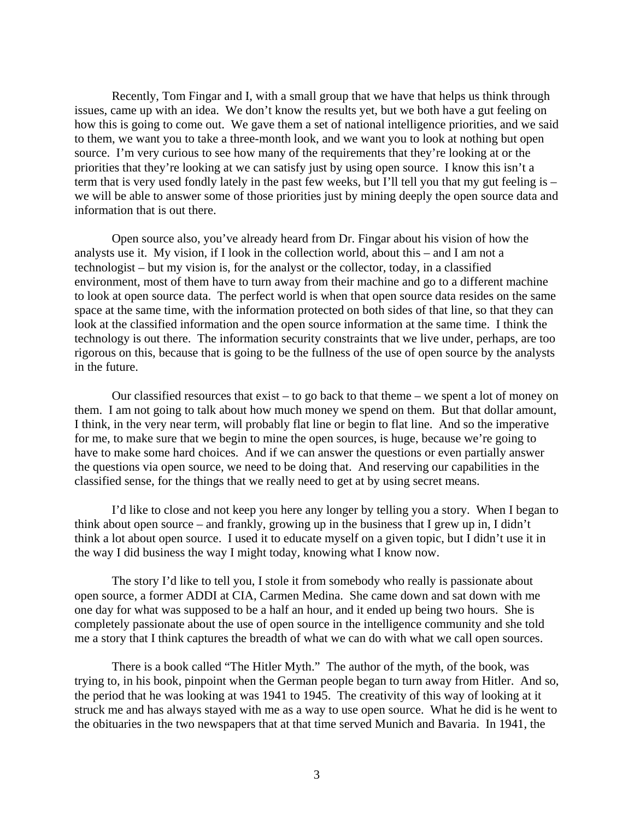Recently, Tom Fingar and I, with a small group that we have that helps us think through issues, came up with an idea. We don't know the results yet, but we both have a gut feeling on how this is going to come out. We gave them a set of national intelligence priorities, and we said to them, we want you to take a three-month look, and we want you to look at nothing but open source. I'm very curious to see how many of the requirements that they're looking at or the priorities that they're looking at we can satisfy just by using open source. I know this isn't a term that is very used fondly lately in the past few weeks, but I'll tell you that my gut feeling is – we will be able to answer some of those priorities just by mining deeply the open source data and information that is out there.

Open source also, you've already heard from Dr. Fingar about his vision of how the analysts use it. My vision, if I look in the collection world, about this – and I am not a technologist – but my vision is, for the analyst or the collector, today, in a classified environment, most of them have to turn away from their machine and go to a different machine to look at open source data. The perfect world is when that open source data resides on the same space at the same time, with the information protected on both sides of that line, so that they can look at the classified information and the open source information at the same time. I think the technology is out there. The information security constraints that we live under, perhaps, are too rigorous on this, because that is going to be the fullness of the use of open source by the analysts in the future.

Our classified resources that exist – to go back to that theme – we spent a lot of money on them. I am not going to talk about how much money we spend on them. But that dollar amount, I think, in the very near term, will probably flat line or begin to flat line. And so the imperative for me, to make sure that we begin to mine the open sources, is huge, because we're going to have to make some hard choices. And if we can answer the questions or even partially answer the questions via open source, we need to be doing that. And reserving our capabilities in the classified sense, for the things that we really need to get at by using secret means.

I'd like to close and not keep you here any longer by telling you a story. When I began to think about open source – and frankly, growing up in the business that I grew up in, I didn't think a lot about open source. I used it to educate myself on a given topic, but I didn't use it in the way I did business the way I might today, knowing what I know now.

The story I'd like to tell you, I stole it from somebody who really is passionate about open source, a former ADDI at CIA, Carmen Medina. She came down and sat down with me one day for what was supposed to be a half an hour, and it ended up being two hours. She is completely passionate about the use of open source in the intelligence community and she told me a story that I think captures the breadth of what we can do with what we call open sources.

There is a book called "The Hitler Myth." The author of the myth, of the book, was trying to, in his book, pinpoint when the German people began to turn away from Hitler. And so, the period that he was looking at was 1941 to 1945. The creativity of this way of looking at it struck me and has always stayed with me as a way to use open source. What he did is he went to the obituaries in the two newspapers that at that time served Munich and Bavaria. In 1941, the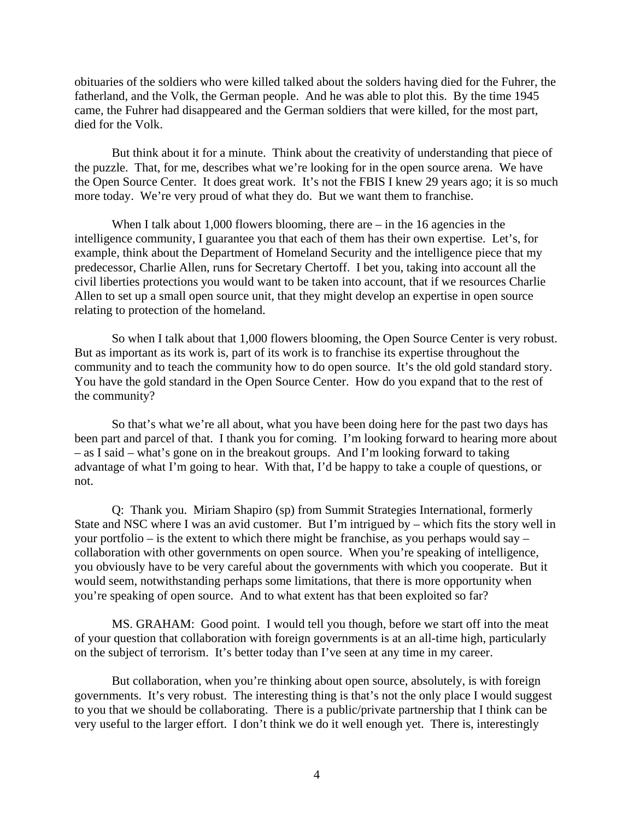obituaries of the soldiers who were killed talked about the solders having died for the Fuhrer, the fatherland, and the Volk, the German people. And he was able to plot this. By the time 1945 came, the Fuhrer had disappeared and the German soldiers that were killed, for the most part, died for the Volk.

But think about it for a minute. Think about the creativity of understanding that piece of the puzzle. That, for me, describes what we're looking for in the open source arena. We have the Open Source Center. It does great work. It's not the FBIS I knew 29 years ago; it is so much more today. We're very proud of what they do. But we want them to franchise.

When I talk about 1,000 flowers blooming, there are – in the 16 agencies in the intelligence community, I guarantee you that each of them has their own expertise. Let's, for example, think about the Department of Homeland Security and the intelligence piece that my predecessor, Charlie Allen, runs for Secretary Chertoff. I bet you, taking into account all the civil liberties protections you would want to be taken into account, that if we resources Charlie Allen to set up a small open source unit, that they might develop an expertise in open source relating to protection of the homeland.

So when I talk about that 1,000 flowers blooming, the Open Source Center is very robust. But as important as its work is, part of its work is to franchise its expertise throughout the community and to teach the community how to do open source. It's the old gold standard story. You have the gold standard in the Open Source Center. How do you expand that to the rest of the community?

So that's what we're all about, what you have been doing here for the past two days has been part and parcel of that. I thank you for coming. I'm looking forward to hearing more about – as I said – what's gone on in the breakout groups. And I'm looking forward to taking advantage of what I'm going to hear. With that, I'd be happy to take a couple of questions, or not.

Q: Thank you. Miriam Shapiro (sp) from Summit Strategies International, formerly State and NSC where I was an avid customer. But I'm intrigued by – which fits the story well in your portfolio – is the extent to which there might be franchise, as you perhaps would say – collaboration with other governments on open source. When you're speaking of intelligence, you obviously have to be very careful about the governments with which you cooperate. But it would seem, notwithstanding perhaps some limitations, that there is more opportunity when you're speaking of open source. And to what extent has that been exploited so far?

MS. GRAHAM: Good point. I would tell you though, before we start off into the meat of your question that collaboration with foreign governments is at an all-time high, particularly on the subject of terrorism. It's better today than I've seen at any time in my career.

But collaboration, when you're thinking about open source, absolutely, is with foreign governments. It's very robust. The interesting thing is that's not the only place I would suggest to you that we should be collaborating. There is a public/private partnership that I think can be very useful to the larger effort. I don't think we do it well enough yet. There is, interestingly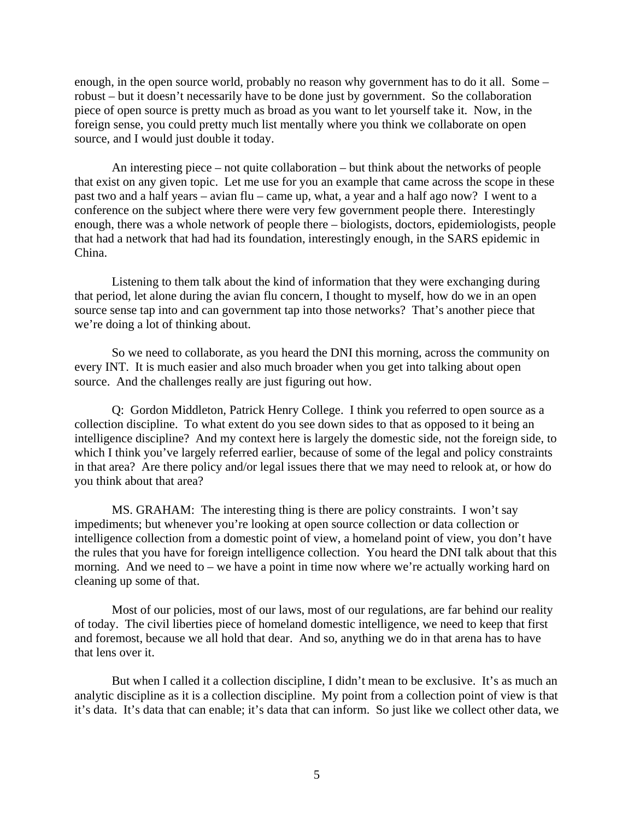enough, in the open source world, probably no reason why government has to do it all. Some – robust – but it doesn't necessarily have to be done just by government. So the collaboration piece of open source is pretty much as broad as you want to let yourself take it. Now, in the foreign sense, you could pretty much list mentally where you think we collaborate on open source, and I would just double it today.

An interesting piece – not quite collaboration – but think about the networks of people that exist on any given topic. Let me use for you an example that came across the scope in these past two and a half years – avian flu – came up, what, a year and a half ago now? I went to a conference on the subject where there were very few government people there. Interestingly enough, there was a whole network of people there – biologists, doctors, epidemiologists, people that had a network that had had its foundation, interestingly enough, in the SARS epidemic in China.

Listening to them talk about the kind of information that they were exchanging during that period, let alone during the avian flu concern, I thought to myself, how do we in an open source sense tap into and can government tap into those networks? That's another piece that we're doing a lot of thinking about.

So we need to collaborate, as you heard the DNI this morning, across the community on every INT. It is much easier and also much broader when you get into talking about open source. And the challenges really are just figuring out how.

Q: Gordon Middleton, Patrick Henry College. I think you referred to open source as a collection discipline. To what extent do you see down sides to that as opposed to it being an intelligence discipline? And my context here is largely the domestic side, not the foreign side, to which I think you've largely referred earlier, because of some of the legal and policy constraints in that area? Are there policy and/or legal issues there that we may need to relook at, or how do you think about that area?

MS. GRAHAM: The interesting thing is there are policy constraints. I won't say impediments; but whenever you're looking at open source collection or data collection or intelligence collection from a domestic point of view, a homeland point of view, you don't have the rules that you have for foreign intelligence collection. You heard the DNI talk about that this morning. And we need to – we have a point in time now where we're actually working hard on cleaning up some of that.

Most of our policies, most of our laws, most of our regulations, are far behind our reality of today. The civil liberties piece of homeland domestic intelligence, we need to keep that first and foremost, because we all hold that dear. And so, anything we do in that arena has to have that lens over it.

But when I called it a collection discipline, I didn't mean to be exclusive. It's as much an analytic discipline as it is a collection discipline. My point from a collection point of view is that it's data. It's data that can enable; it's data that can inform. So just like we collect other data, we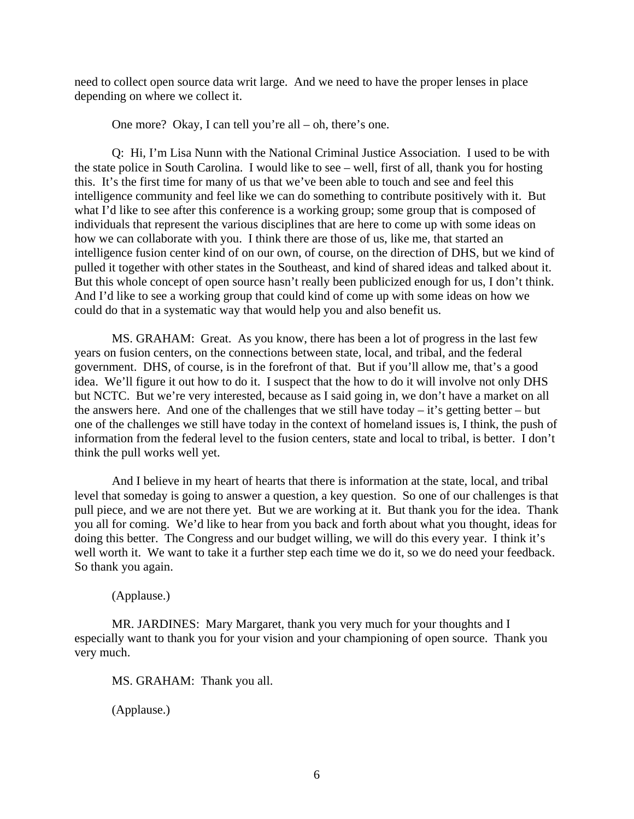need to collect open source data writ large. And we need to have the proper lenses in place depending on where we collect it.

One more? Okay, I can tell you're all – oh, there's one.

Q: Hi, I'm Lisa Nunn with the National Criminal Justice Association. I used to be with the state police in South Carolina. I would like to see – well, first of all, thank you for hosting this. It's the first time for many of us that we've been able to touch and see and feel this intelligence community and feel like we can do something to contribute positively with it. But what I'd like to see after this conference is a working group; some group that is composed of individuals that represent the various disciplines that are here to come up with some ideas on how we can collaborate with you. I think there are those of us, like me, that started an intelligence fusion center kind of on our own, of course, on the direction of DHS, but we kind of pulled it together with other states in the Southeast, and kind of shared ideas and talked about it. But this whole concept of open source hasn't really been publicized enough for us, I don't think. And I'd like to see a working group that could kind of come up with some ideas on how we could do that in a systematic way that would help you and also benefit us.

MS. GRAHAM: Great. As you know, there has been a lot of progress in the last few years on fusion centers, on the connections between state, local, and tribal, and the federal government. DHS, of course, is in the forefront of that. But if you'll allow me, that's a good idea. We'll figure it out how to do it. I suspect that the how to do it will involve not only DHS but NCTC. But we're very interested, because as I said going in, we don't have a market on all the answers here. And one of the challenges that we still have today  $-$  it's getting better  $-$  but one of the challenges we still have today in the context of homeland issues is, I think, the push of information from the federal level to the fusion centers, state and local to tribal, is better. I don't think the pull works well yet.

And I believe in my heart of hearts that there is information at the state, local, and tribal level that someday is going to answer a question, a key question. So one of our challenges is that pull piece, and we are not there yet. But we are working at it. But thank you for the idea. Thank you all for coming. We'd like to hear from you back and forth about what you thought, ideas for doing this better. The Congress and our budget willing, we will do this every year. I think it's well worth it. We want to take it a further step each time we do it, so we do need your feedback. So thank you again.

(Applause.)

MR. JARDINES: Mary Margaret, thank you very much for your thoughts and I especially want to thank you for your vision and your championing of open source. Thank you very much.

MS. GRAHAM: Thank you all.

(Applause.)